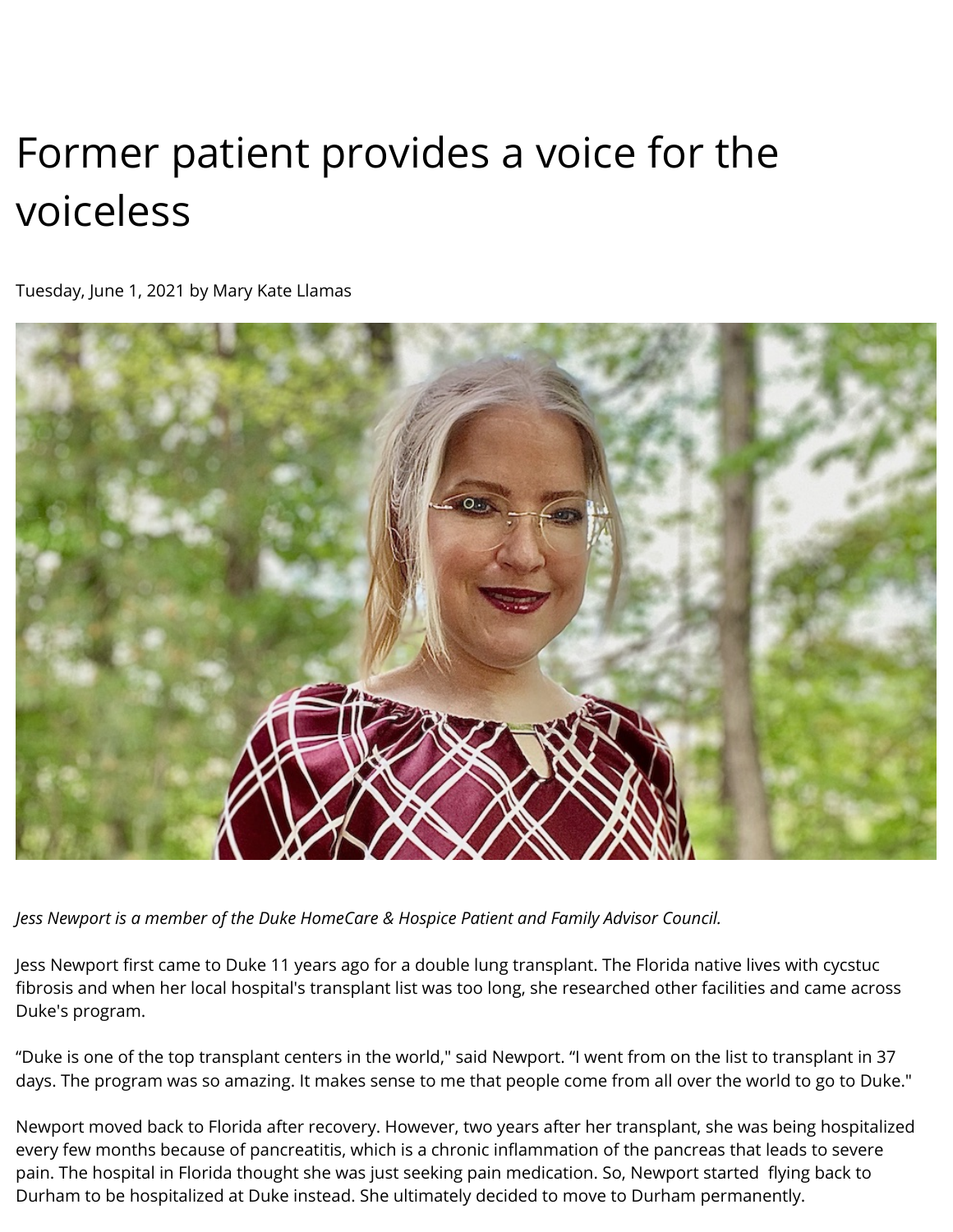## Former patient provides a voice for the voiceless

Tuesday, June 1, 2021 by Mary Kate Llamas



*Jess Newport is a member of the Duke HomeCare & Hospice Patient and Family Advisor Council.*

Jess Newport first came to Duke 11 years ago for a double lung transplant. The Florida native lives with cycstuc fibrosis and when her local hospital's transplant list was too long, she researched other facilities and came across Duke's program.

"Duke is one of the top transplant centers in the world," said Newport. "I went from on the list to transplant in 37 days. The program was so amazing. It makes sense to me that people come from all over the world to go to Duke."

Newport moved back to Florida after recovery. However, two years after her transplant, she was being hospitalized every few months because of pancreatitis, which is a chronic inflammation of the pancreas that leads to severe pain. The hospital in Florida thought she was just seeking pain medication. So, Newport started flying back to Durham to be hospitalized at Duke instead. She ultimately decided to move to Durham permanently.